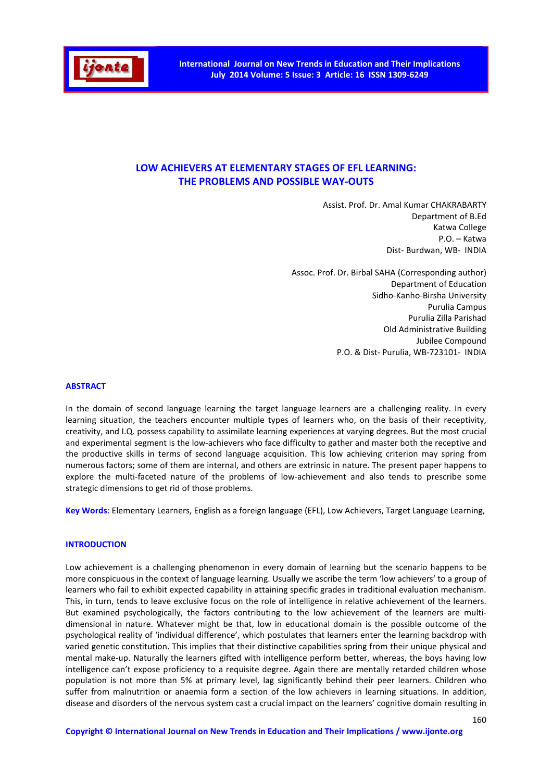

# **LOW ACHIEVERS AT ELEMENTARY STAGES OF EFL LEARNING: THE PROBLEMS AND POSSIBLE WAY-OUTS**

Assist. Prof. Dr. Amal Kumar CHAKRABARTY Department of B.Ed Katwa College P.O. – Katwa Dist- Burdwan, WB- INDIA

Assoc. Prof. Dr. Birbal SAHA (Corresponding author) Department of Education Sidho-Kanho-Birsha University Purulia Campus Purulia Zilla Parishad Old Administrative Building Jubilee Compound P.O. & Dist- Purulia, WB-723101- INDIA

## **ABSTRACT**

In the domain of second language learning the target language learners are a challenging reality. In every learning situation, the teachers encounter multiple types of learners who, on the basis of their receptivity, creativity, and I.Q. possess capability to assimilate learning experiences at varying degrees. But the most crucial and experimental segment is the low-achievers who face difficulty to gather and master both the receptive and the productive skills in terms of second language acquisition. This low achieving criterion may spring from numerous factors; some of them are internal, and others are extrinsic in nature. The present paper happens to explore the multi-faceted nature of the problems of low-achievement and also tends to prescribe some strategic dimensions to get rid of those problems.

**Key Words**: Elementary Learners, English as a foreign language (EFL), Low Achievers, Target Language Learning,

# **INTRODUCTION**

Low achievement is a challenging phenomenon in every domain of learning but the scenario happens to be more conspicuous in the context of language learning. Usually we ascribe the term 'low achievers' to a group of learners who fail to exhibit expected capability in attaining specific grades in traditional evaluation mechanism. This, in turn, tends to leave exclusive focus on the role of intelligence in relative achievement of the learners. But examined psychologically, the factors contributing to the low achievement of the learners are multidimensional in nature. Whatever might be that, low in educational domain is the possible outcome of the psychological reality of 'individual difference', which postulates that learners enter the learning backdrop with varied genetic constitution. This implies that their distinctive capabilities spring from their unique physical and mental make-up. Naturally the learners gifted with intelligence perform better, whereas, the boys having low intelligence can't expose proficiency to a requisite degree. Again there are mentally retarded children whose population is not more than 5% at primary level, lag significantly behind their peer learners. Children who suffer from malnutrition or anaemia form a section of the low achievers in learning situations. In addition, disease and disorders of the nervous system cast a crucial impact on the learners' cognitive domain resulting in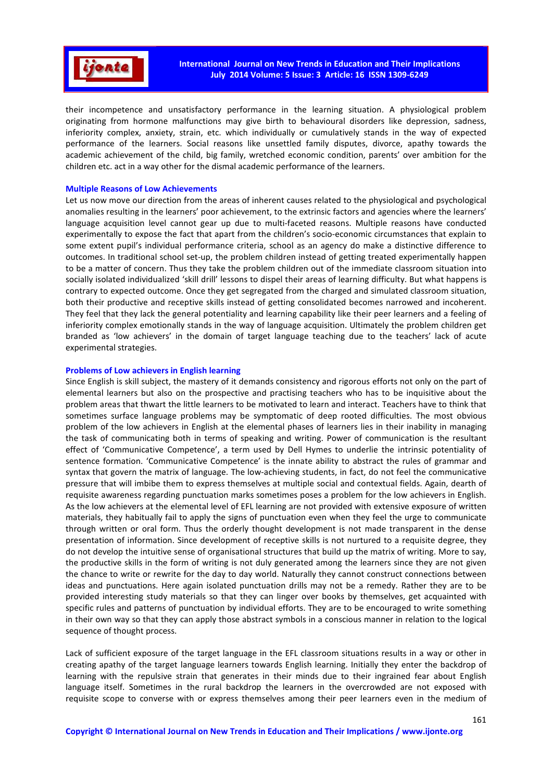

their incompetence and unsatisfactory performance in the learning situation. A physiological problem originating from hormone malfunctions may give birth to behavioural disorders like depression, sadness, inferiority complex, anxiety, strain, etc. which individually or cumulatively stands in the way of expected performance of the learners. Social reasons like unsettled family disputes, divorce, apathy towards the academic achievement of the child, big family, wretched economic condition, parents' over ambition for the children etc. act in a way other for the dismal academic performance of the learners.

## **Multiple Reasons of Low Achievements**

Let us now move our direction from the areas of inherent causes related to the physiological and psychological anomalies resulting in the learners' poor achievement, to the extrinsic factors and agencies where the learners' language acquisition level cannot gear up due to multi-faceted reasons. Multiple reasons have conducted experimentally to expose the fact that apart from the children's socio-economic circumstances that explain to some extent pupil's individual performance criteria, school as an agency do make a distinctive difference to outcomes. In traditional school set-up, the problem children instead of getting treated experimentally happen to be a matter of concern. Thus they take the problem children out of the immediate classroom situation into socially isolated individualized 'skill drill' lessons to dispel their areas of learning difficulty. But what happens is contrary to expected outcome. Once they get segregated from the charged and simulated classroom situation, both their productive and receptive skills instead of getting consolidated becomes narrowed and incoherent. They feel that they lack the general potentiality and learning capability like their peer learners and a feeling of inferiority complex emotionally stands in the way of language acquisition. Ultimately the problem children get branded as 'low achievers' in the domain of target language teaching due to the teachers' lack of acute experimental strategies.

#### **Problems of Low achievers in English learning**

Since English is skill subject, the mastery of it demands consistency and rigorous efforts not only on the part of elemental learners but also on the prospective and practising teachers who has to be inquisitive about the problem areas that thwart the little learners to be motivated to learn and interact. Teachers have to think that sometimes surface language problems may be symptomatic of deep rooted difficulties. The most obvious problem of the low achievers in English at the elemental phases of learners lies in their inability in managing the task of communicating both in terms of speaking and writing. Power of communication is the resultant effect of 'Communicative Competence', a term used by Dell Hymes to underlie the intrinsic potentiality of sentence formation. 'Communicative Competence' is the innate ability to abstract the rules of grammar and syntax that govern the matrix of language. The low-achieving students, in fact, do not feel the communicative pressure that will imbibe them to express themselves at multiple social and contextual fields. Again, dearth of requisite awareness regarding punctuation marks sometimes poses a problem for the low achievers in English. As the low achievers at the elemental level of EFL learning are not provided with extensive exposure of written materials, they habitually fail to apply the signs of punctuation even when they feel the urge to communicate through written or oral form. Thus the orderly thought development is not made transparent in the dense presentation of information. Since development of receptive skills is not nurtured to a requisite degree, they do not develop the intuitive sense of organisational structures that build up the matrix of writing. More to say, the productive skills in the form of writing is not duly generated among the learners since they are not given the chance to write or rewrite for the day to day world. Naturally they cannot construct connections between ideas and punctuations. Here again isolated punctuation drills may not be a remedy. Rather they are to be provided interesting study materials so that they can linger over books by themselves, get acquainted with specific rules and patterns of punctuation by individual efforts. They are to be encouraged to write something in their own way so that they can apply those abstract symbols in a conscious manner in relation to the logical sequence of thought process.

Lack of sufficient exposure of the target language in the EFL classroom situations results in a way or other in creating apathy of the target language learners towards English learning. Initially they enter the backdrop of learning with the repulsive strain that generates in their minds due to their ingrained fear about English language itself. Sometimes in the rural backdrop the learners in the overcrowded are not exposed with requisite scope to converse with or express themselves among their peer learners even in the medium of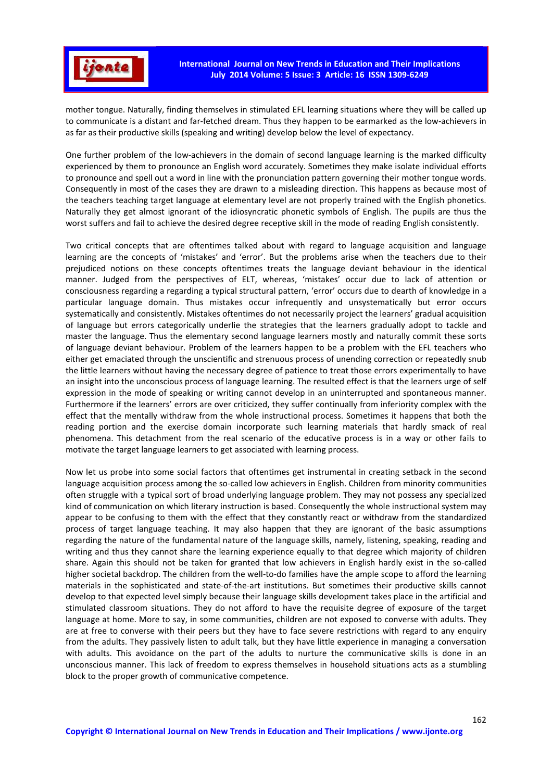

mother tongue. Naturally, finding themselves in stimulated EFL learning situations where they will be called up to communicate is a distant and far-fetched dream. Thus they happen to be earmarked as the low-achievers in as far as their productive skills (speaking and writing) develop below the level of expectancy.

One further problem of the low-achievers in the domain of second language learning is the marked difficulty experienced by them to pronounce an English word accurately. Sometimes they make isolate individual efforts to pronounce and spell out a word in line with the pronunciation pattern governing their mother tongue words. Consequently in most of the cases they are drawn to a misleading direction. This happens as because most of the teachers teaching target language at elementary level are not properly trained with the English phonetics. Naturally they get almost ignorant of the idiosyncratic phonetic symbols of English. The pupils are thus the worst suffers and fail to achieve the desired degree receptive skill in the mode of reading English consistently.

Two critical concepts that are oftentimes talked about with regard to language acquisition and language learning are the concepts of 'mistakes' and 'error'. But the problems arise when the teachers due to their prejudiced notions on these concepts oftentimes treats the language deviant behaviour in the identical manner. Judged from the perspectives of ELT, whereas, 'mistakes' occur due to lack of attention or consciousness regarding a regarding a typical structural pattern, 'error' occurs due to dearth of knowledge in a particular language domain. Thus mistakes occur infrequently and unsystematically but error occurs systematically and consistently. Mistakes oftentimes do not necessarily project the learners' gradual acquisition of language but errors categorically underlie the strategies that the learners gradually adopt to tackle and master the language. Thus the elementary second language learners mostly and naturally commit these sorts of language deviant behaviour. Problem of the learners happen to be a problem with the EFL teachers who either get emaciated through the unscientific and strenuous process of unending correction or repeatedly snub the little learners without having the necessary degree of patience to treat those errors experimentally to have an insight into the unconscious process of language learning. The resulted effect is that the learners urge of self expression in the mode of speaking or writing cannot develop in an uninterrupted and spontaneous manner. Furthermore if the learners' errors are over criticized, they suffer continually from inferiority complex with the effect that the mentally withdraw from the whole instructional process. Sometimes it happens that both the reading portion and the exercise domain incorporate such learning materials that hardly smack of real phenomena. This detachment from the real scenario of the educative process is in a way or other fails to motivate the target language learners to get associated with learning process.

Now let us probe into some social factors that oftentimes get instrumental in creating setback in the second language acquisition process among the so-called low achievers in English. Children from minority communities often struggle with a typical sort of broad underlying language problem. They may not possess any specialized kind of communication on which literary instruction is based. Consequently the whole instructional system may appear to be confusing to them with the effect that they constantly react or withdraw from the standardized process of target language teaching. It may also happen that they are ignorant of the basic assumptions regarding the nature of the fundamental nature of the language skills, namely, listening, speaking, reading and writing and thus they cannot share the learning experience equally to that degree which majority of children share. Again this should not be taken for granted that low achievers in English hardly exist in the so-called higher societal backdrop. The children from the well-to-do families have the ample scope to afford the learning materials in the sophisticated and state-of-the-art institutions. But sometimes their productive skills cannot develop to that expected level simply because their language skills development takes place in the artificial and stimulated classroom situations. They do not afford to have the requisite degree of exposure of the target language at home. More to say, in some communities, children are not exposed to converse with adults. They are at free to converse with their peers but they have to face severe restrictions with regard to any enquiry from the adults. They passively listen to adult talk, but they have little experience in managing a conversation with adults. This avoidance on the part of the adults to nurture the communicative skills is done in an unconscious manner. This lack of freedom to express themselves in household situations acts as a stumbling block to the proper growth of communicative competence.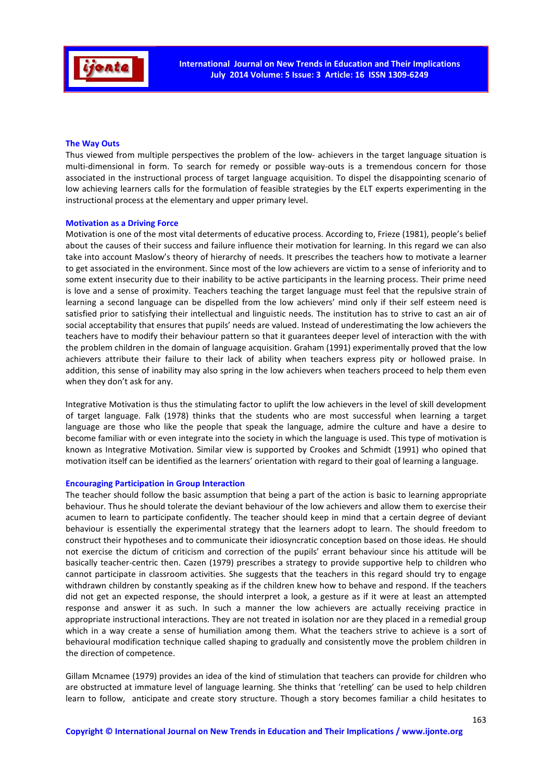

## **The Way Outs**

Thus viewed from multiple perspectives the problem of the low- achievers in the target language situation is multi-dimensional in form. To search for remedy or possible way-outs is a tremendous concern for those associated in the instructional process of target language acquisition. To dispel the disappointing scenario of low achieving learners calls for the formulation of feasible strategies by the ELT experts experimenting in the instructional process at the elementary and upper primary level.

#### **Motivation as a Driving Force**

Motivation is one of the most vital determents of educative process. According to, Frieze (1981), people's belief about the causes of their success and failure influence their motivation for learning. In this regard we can also take into account Maslow's theory of hierarchy of needs. It prescribes the teachers how to motivate a learner to get associated in the environment. Since most of the low achievers are victim to a sense of inferiority and to some extent insecurity due to their inability to be active participants in the learning process. Their prime need is love and a sense of proximity. Teachers teaching the target language must feel that the repulsive strain of learning a second language can be dispelled from the low achievers' mind only if their self esteem need is satisfied prior to satisfying their intellectual and linguistic needs. The institution has to strive to cast an air of social acceptability that ensures that pupils' needs are valued. Instead of underestimating the low achievers the teachers have to modify their behaviour pattern so that it guarantees deeper level of interaction with the with the problem children in the domain of language acquisition. Graham (1991) experimentally proved that the low achievers attribute their failure to their lack of ability when teachers express pity or hollowed praise. In addition, this sense of inability may also spring in the low achievers when teachers proceed to help them even when they don't ask for any.

Integrative Motivation is thus the stimulating factor to uplift the low achievers in the level of skill development of target language. Falk (1978) thinks that the students who are most successful when learning a target language are those who like the people that speak the language, admire the culture and have a desire to become familiar with or even integrate into the society in which the language is used. This type of motivation is known as Integrative Motivation. Similar view is supported by Crookes and Schmidt (1991) who opined that motivation itself can be identified as the learners' orientation with regard to their goal of learning a language.

## **Encouraging Participation in Group Interaction**

The teacher should follow the basic assumption that being a part of the action is basic to learning appropriate behaviour. Thus he should tolerate the deviant behaviour of the low achievers and allow them to exercise their acumen to learn to participate confidently. The teacher should keep in mind that a certain degree of deviant behaviour is essentially the experimental strategy that the learners adopt to learn. The should freedom to construct their hypotheses and to communicate their idiosyncratic conception based on those ideas. He should not exercise the dictum of criticism and correction of the pupils' errant behaviour since his attitude will be basically teacher-centric then. Cazen (1979) prescribes a strategy to provide supportive help to children who cannot participate in classroom activities. She suggests that the teachers in this regard should try to engage withdrawn children by constantly speaking as if the children knew how to behave and respond. If the teachers did not get an expected response, the should interpret a look, a gesture as if it were at least an attempted response and answer it as such. In such a manner the low achievers are actually receiving practice in appropriate instructional interactions. They are not treated in isolation nor are they placed in a remedial group which in a way create a sense of humiliation among them. What the teachers strive to achieve is a sort of behavioural modification technique called shaping to gradually and consistently move the problem children in the direction of competence.

Gillam Mcnamee (1979) provides an idea of the kind of stimulation that teachers can provide for children who are obstructed at immature level of language learning. She thinks that 'retelling' can be used to help children learn to follow, anticipate and create story structure. Though a story becomes familiar a child hesitates to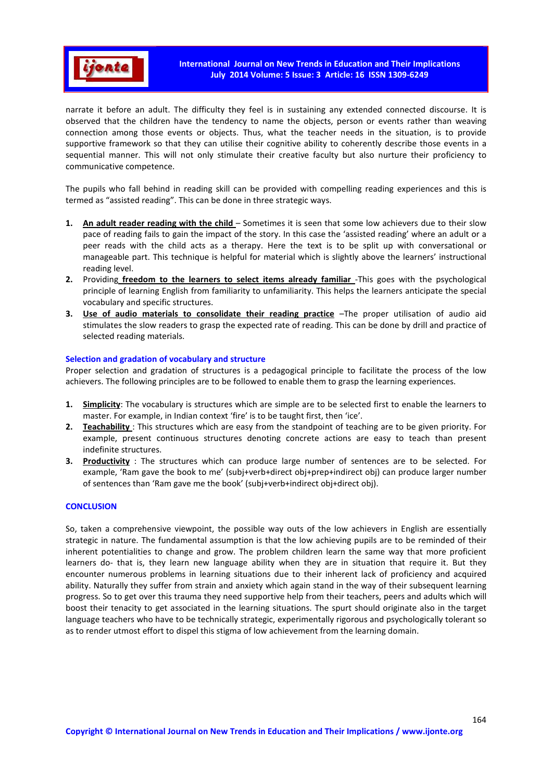

narrate it before an adult. The difficulty they feel is in sustaining any extended connected discourse. It is observed that the children have the tendency to name the objects, person or events rather than weaving connection among those events or objects. Thus, what the teacher needs in the situation, is to provide supportive framework so that they can utilise their cognitive ability to coherently describe those events in a sequential manner. This will not only stimulate their creative faculty but also nurture their proficiency to communicative competence.

The pupils who fall behind in reading skill can be provided with compelling reading experiences and this is termed as "assisted reading". This can be done in three strategic ways.

- **1. An adult reader reading with the child**  Sometimes it is seen that some low achievers due to their slow pace of reading fails to gain the impact of the story. In this case the 'assisted reading' where an adult or a peer reads with the child acts as a therapy. Here the text is to be split up with conversational or manageable part. This technique is helpful for material which is slightly above the learners' instructional reading level.
- **2.** Providing **freedom to the learners to select items already familiar** -This goes with the psychological principle of learning English from familiarity to unfamiliarity. This helps the learners anticipate the special vocabulary and specific structures.
- **3. Use of audio materials to consolidate their reading practice** –The proper utilisation of audio aid stimulates the slow readers to grasp the expected rate of reading. This can be done by drill and practice of selected reading materials.

# **Selection and gradation of vocabulary and structure**

Proper selection and gradation of structures is a pedagogical principle to facilitate the process of the low achievers. The following principles are to be followed to enable them to grasp the learning experiences.

- **1. Simplicity**: The vocabulary is structures which are simple are to be selected first to enable the learners to master. For example, in Indian context 'fire' is to be taught first, then 'ice'.
- **2. Teachability** : This structures which are easy from the standpoint of teaching are to be given priority. For example, present continuous structures denoting concrete actions are easy to teach than present indefinite structures.
- **3. Productivity** : The structures which can produce large number of sentences are to be selected. For example, 'Ram gave the book to me' (subj+verb+direct obj+prep+indirect obj) can produce larger number of sentences than 'Ram gave me the book' (subj+verb+indirect obj+direct obj).

# **CONCLUSION**

So, taken a comprehensive viewpoint, the possible way outs of the low achievers in English are essentially strategic in nature. The fundamental assumption is that the low achieving pupils are to be reminded of their inherent potentialities to change and grow. The problem children learn the same way that more proficient learners do- that is, they learn new language ability when they are in situation that require it. But they encounter numerous problems in learning situations due to their inherent lack of proficiency and acquired ability. Naturally they suffer from strain and anxiety which again stand in the way of their subsequent learning progress. So to get over this trauma they need supportive help from their teachers, peers and adults which will boost their tenacity to get associated in the learning situations. The spurt should originate also in the target language teachers who have to be technically strategic, experimentally rigorous and psychologically tolerant so as to render utmost effort to dispel this stigma of low achievement from the learning domain.